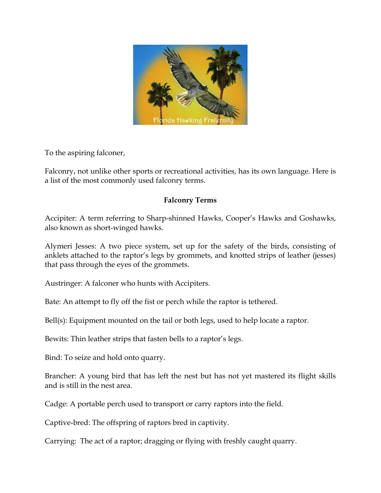

To the aspiring falconer,

Falconry, not unlike other sports or recreational activities, has its own language. Here is a list of the most commonly used falconry terms.

## **Falconry Terms**

Accipiter: A term referring to Sharp-shinned Hawks, Cooper's Hawks and Goshawks, also known as short-winged hawks.

Alymeri Jesses: A two piece system, set up for the safety of the birds, consisting of anklets attached to the raptor's legs by grommets, and knotted strips of leather (jesses) that pass through the eyes of the grommets.

Austringer: A falconer who hunts with Accipiters.

Bate: An attempt to fly off the fist or perch while the raptor is tethered.

Bell(s): Equipment mounted on the tail or both legs, used to help locate a raptor.

Bewits: Thin leather strips that fasten bells to a raptor's legs.

Bind: To seize and hold onto quarry.

Brancher: A young bird that has left the nest but has not yet mastered its flight skills and is still in the nest area.

Cadge: A portable perch used to transport or carry raptors into the field.

Captive-bred: The offspring of raptors bred in captivity.

Carrying: The act of a raptor; dragging or flying with freshly caught quarry.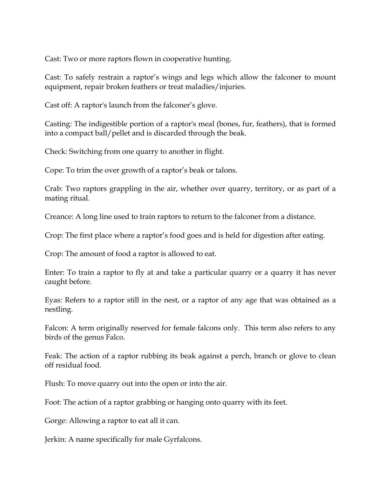Cast: Two or more raptors flown in cooperative hunting.

Cast: To safely restrain a raptor's wings and legs which allow the falconer to mount equipment, repair broken feathers or treat maladies/injuries.

Cast off: A raptor's launch from the falconer's glove.

Casting: The indigestible portion of a raptor's meal (bones, fur, feathers), that is formed into a compact ball/pellet and is discarded through the beak.

Check: Switching from one quarry to another in flight.

Cope: To trim the over growth of a raptor's beak or talons.

Crab: Two raptors grappling in the air, whether over quarry, territory, or as part of a mating ritual.

Creance: A long line used to train raptors to return to the falconer from a distance.

Crop: The first place where a raptor's food goes and is held for digestion after eating.

Crop: The amount of food a raptor is allowed to eat.

Enter: To train a raptor to fly at and take a particular quarry or a quarry it has never caught before.

Eyas: Refers to a raptor still in the nest, or a raptor of any age that was obtained as a nestling.

Falcon: A term originally reserved for female falcons only. This term also refers to any birds of the genus Falco.

Feak: The action of a raptor rubbing its beak against a perch, branch or glove to clean off residual food.

Flush: To move quarry out into the open or into the air.

Foot: The action of a raptor grabbing or hanging onto quarry with its feet.

Gorge: Allowing a raptor to eat all it can.

Jerkin: A name specifically for male Gyrfalcons.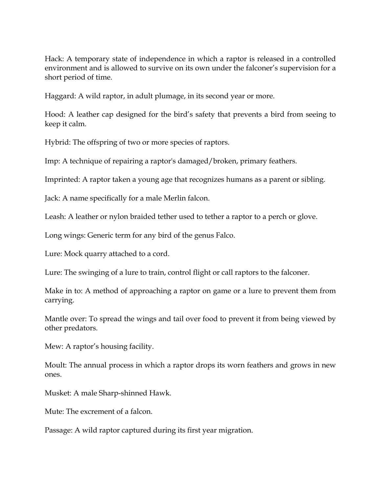Hack: A temporary state of independence in which a raptor is released in a controlled environment and is allowed to survive on its own under the falconer's supervision for a short period of time.

Haggard: A wild raptor, in adult plumage, in its second year or more.

Hood: A leather cap designed for the bird's safety that prevents a bird from seeing to keep it calm.

Hybrid: The offspring of two or more species of raptors.

Imp: A technique of repairing a raptor's damaged/broken, primary feathers.

Imprinted: A raptor taken a young age that recognizes humans as a parent or sibling.

Jack: A name specifically for a male Merlin falcon.

Leash: A leather or nylon braided tether used to tether a raptor to a perch or glove.

Long wings: Generic term for any bird of the genus Falco.

Lure: Mock quarry attached to a cord.

Lure: The swinging of a lure to train, control flight or call raptors to the falconer.

Make in to: A method of approaching a raptor on game or a lure to prevent them from carrying.

Mantle over: To spread the wings and tail over food to prevent it from being viewed by other predators.

Mew: A raptor's housing facility.

Moult: The annual process in which a raptor drops its worn feathers and grows in new ones.

Musket: A male Sharp-shinned Hawk.

Mute: The excrement of a falcon.

Passage: A wild raptor captured during its first year migration.